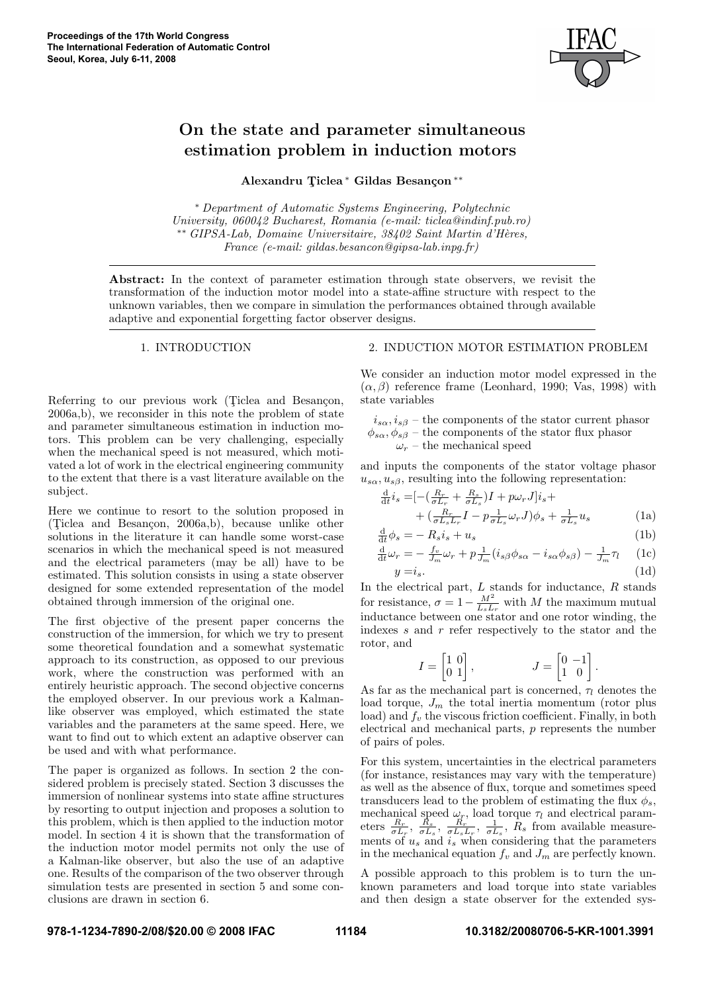

# On the state and parameter simultaneous estimation problem in induction motors

Alexandru Ticlea \* Gildas Besançon \*\*

<sup>∗</sup> Department of Automatic Systems Engineering, Polytechnic University, 060042 Bucharest, Romania (e-mail: ticlea@indinf.pub.ro) ∗∗ GIPSA-Lab, Domaine Universitaire, 38402 Saint Martin d'H`eres, France (e-mail: gildas.besancon@gipsa-lab.inpg.fr)

Abstract: In the context of parameter estimation through state observers, we revisit the transformation of the induction motor model into a state-affine structure with respect to the unknown variables, then we compare in simulation the performances obtained through available adaptive and exponential forgetting factor observer designs.

#### 1. INTRODUCTION

Referring to our previous work (Ticlea and Besançon, 2006a,b), we reconsider in this note the problem of state and parameter simultaneous estimation in induction motors. This problem can be very challenging, especially when the mechanical speed is not measured, which motivated a lot of work in the electrical engineering community to the extent that there is a vast literature available on the subject.

Here we continue to resort to the solution proposed in (Ticlea and Besançon,  $2006a,b$ ), because unlike other solutions in the literature it can handle some worst-case scenarios in which the mechanical speed is not measured and the electrical parameters (may be all) have to be estimated. This solution consists in using a state observer designed for some extended representation of the model obtained through immersion of the original one.

The first objective of the present paper concerns the construction of the immersion, for which we try to present some theoretical foundation and a somewhat systematic approach to its construction, as opposed to our previous work, where the construction was performed with an entirely heuristic approach. The second objective concerns the employed observer. In our previous work a Kalmanlike observer was employed, which estimated the state variables and the parameters at the same speed. Here, we want to find out to which extent an adaptive observer can be used and with what performance.

The paper is organized as follows. In section 2 the considered problem is precisely stated. Section 3 discusses the immersion of nonlinear systems into state affine structures by resorting to output injection and proposes a solution to this problem, which is then applied to the induction motor model. In section 4 it is shown that the transformation of the induction motor model permits not only the use of a Kalman-like observer, but also the use of an adaptive one. Results of the comparison of the two observer through simulation tests are presented in section 5 and some conclusions are drawn in section 6.

# 2. INDUCTION MOTOR ESTIMATION PROBLEM

We consider an induction motor model expressed in the  $(\alpha, \beta)$  reference frame (Leonhard, 1990; Vas, 1998) with state variables

 $i_{s\alpha}, i_{s\beta}$  – the components of the stator current phasor  $\phi_{s\alpha}, \phi_{s\beta}$  – the components of the stator flux phasor  $\omega_r$  – the mechanical speed

and inputs the components of the stator voltage phasor  $u_{s\alpha}, u_{s\beta}$ , resulting into the following representation:

$$
\frac{\mathrm{d}}{\mathrm{d}t}i_s = \left[ -\left(\frac{R_r}{\sigma L_r} + \frac{R_s}{\sigma L_s}\right)I + p\omega_r J\right]i_s +
$$
\n
$$
+ \left(\frac{R_r}{\sigma L_s L_r}I - p\frac{1}{\sigma L_s}\omega_r J\right)\phi_s + \frac{1}{\sigma L_s}u_s \tag{1a}
$$

$$
\frac{\mathrm{d}}{\mathrm{d}t}\phi_s = -R_s i_s + u_s \tag{1b}
$$

$$
\frac{\mathrm{d}}{\mathrm{d}t}\omega_r = -\frac{f_v}{J_m}\omega_r + p\frac{1}{J_m}(i_{s\beta}\phi_{s\alpha} - i_{s\alpha}\phi_{s\beta}) - \frac{1}{J_m}\tau_l \quad (1c)
$$
\n
$$
y = i_s. \quad (1d)
$$

In the electrical part,  $L$  stands for inductance,  $R$  stands for resistance,  $\sigma = 1 - \frac{M^2}{L_s L_r}$  with M the maximum mutual inductance between one stator and one rotor winding, the indexes s and r refer respectively to the stator and the rotor, and

$$
I = \begin{bmatrix} 1 & 0 \\ 0 & 1 \end{bmatrix}, \qquad J = \begin{bmatrix} 0 & -1 \\ 1 & 0 \end{bmatrix}.
$$

As far as the mechanical part is concerned,  $\tau_l$  denotes the load torque,  $J_m$  the total inertia momentum (rotor plus load) and  $f_v$  the viscous friction coefficient. Finally, in both electrical and mechanical parts, p represents the number of pairs of poles.

For this system, uncertainties in the electrical parameters (for instance, resistances may vary with the temperature) as well as the absence of flux, torque and sometimes speed transducers lead to the problem of estimating the flux  $\phi_s$ , mechanical speed  $\omega_r$ , load torque  $\tau_l$  and electrical parameters  $\frac{R_r}{\sigma L_r}$ ,  $\frac{R_s}{\sigma L_s}$ ,  $\frac{R_r}{\sigma L_s L_r}$ ,  $\frac{1}{\sigma L_s}$ ,  $\hat{R}_s$  from available measurements of  $u_s$  and  $i_s$  when considering that the parameters in the mechanical equation  $f_v$  and  $J_m$  are perfectly known.

A possible approach to this problem is to turn the unknown parameters and load torque into state variables and then design a state observer for the extended sys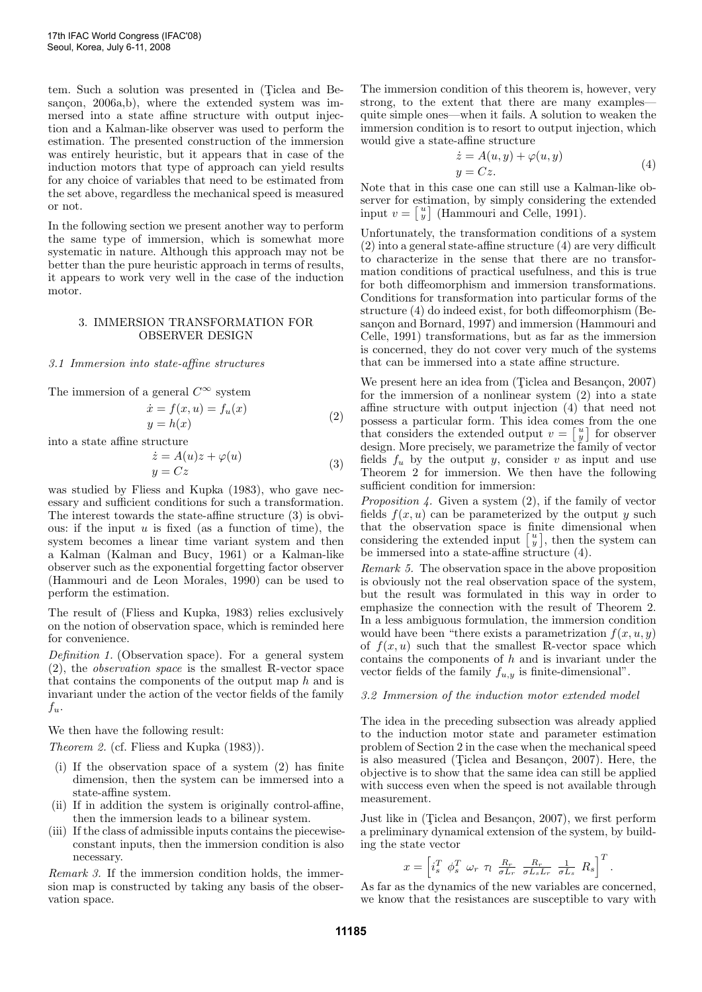tem. Such a solution was presented in (Ticlea and Besançon,  $2006a,b$ , where the extended system was immersed into a state affine structure with output injection and a Kalman-like observer was used to perform the estimation. The presented construction of the immersion was entirely heuristic, but it appears that in case of the induction motors that type of approach can yield results for any choice of variables that need to be estimated from the set above, regardless the mechanical speed is measured or not.

In the following section we present another way to perform the same type of immersion, which is somewhat more systematic in nature. Although this approach may not be better than the pure heuristic approach in terms of results, it appears to work very well in the case of the induction motor.

## 3. IMMERSION TRANSFORMATION FOR OBSERVER DESIGN

# 3.1 Immersion into state-affine structures

The immersion of a general  $C^{\infty}$  system

$$
\begin{aligned}\n\dot{x} &= f(x, u) = f_u(x) \\
y &= h(x)\n\end{aligned} \tag{2}
$$

into a state affine structure

$$
\begin{aligned}\n\dot{z} &= A(u)z + \varphi(u) \\
y &= Cz\n\end{aligned} \tag{3}
$$

was studied by Fliess and Kupka (1983), who gave necessary and sufficient conditions for such a transformation. The interest towards the state-affine structure (3) is obvious: if the input  $u$  is fixed (as a function of time), the system becomes a linear time variant system and then a Kalman (Kalman and Bucy, 1961) or a Kalman-like observer such as the exponential forgetting factor observer (Hammouri and de Leon Morales, 1990) can be used to perform the estimation.

The result of (Fliess and Kupka, 1983) relies exclusively on the notion of observation space, which is reminded here for convenience.

Definition 1. (Observation space). For a general system (2), the observation space is the smallest R-vector space that contains the components of the output map h and is invariant under the action of the vector fields of the family  $f_u$ .

We then have the following result:

Theorem 2. (cf. Fliess and Kupka (1983)).

- (i) If the observation space of a system (2) has finite dimension, then the system can be immersed into a state-affine system.
- (ii) If in addition the system is originally control-affine, then the immersion leads to a bilinear system.
- (iii) If the class of admissible inputs contains the piecewiseconstant inputs, then the immersion condition is also necessary.

Remark 3. If the immersion condition holds, the immersion map is constructed by taking any basis of the observation space.

The immersion condition of this theorem is, however, very strong, to the extent that there are many examples quite simple ones—when it fails. A solution to weaken the immersion condition is to resort to output injection, which would give a state-affine structure

$$
\begin{aligned} \dot{z} &= A(u, y) + \varphi(u, y) \\ y &= Cz. \end{aligned} \tag{4}
$$

Note that in this case one can still use a Kalman-like observer for estimation, by simply considering the extended input  $v = \begin{bmatrix} u \\ y \end{bmatrix}$  (Hammouri and Celle, 1991).

Unfortunately, the transformation conditions of a system (2) into a general state-affine structure (4) are very difficult to characterize in the sense that there are no transformation conditions of practical usefulness, and this is true for both diffeomorphism and immersion transformations. Conditions for transformation into particular forms of the structure (4) do indeed exist, for both diffeomorphism (Besançon and Bornard, 1997) and immersion (Hammouri and Celle, 1991) transformations, but as far as the immersion is concerned, they do not cover very much of the systems that can be immersed into a state affine structure.

We present here an idea from (Ticlea and Besançon, 2007) for the immersion of a nonlinear system (2) into a state affine structure with output injection (4) that need not possess a particular form. This idea comes from the one that considers the extended output  $v = \begin{bmatrix} u \\ y \end{bmatrix}$  for observer design. More precisely, we parametrize the family of vector fields  $f_u$  by the output y, consider v as input and use Theorem 2 for immersion. We then have the following sufficient condition for immersion:

*Proposition 4.* Given a system  $(2)$ , if the family of vector fields  $f(x, u)$  can be parameterized by the output y such that the observation space is finite dimensional when considering the extended input  $\begin{bmatrix} u \\ y \end{bmatrix}$ , then the system can be immersed into a state-affine structure (4).

Remark 5. The observation space in the above proposition is obviously not the real observation space of the system, but the result was formulated in this way in order to emphasize the connection with the result of Theorem 2. In a less ambiguous formulation, the immersion condition would have been "there exists a parametrization  $f(x, u, y)$ " of  $f(x, u)$  such that the smallest R-vector space which contains the components of  $h$  and is invariant under the vector fields of the family  $f_{u,y}$  is finite-dimensional".

#### 3.2 Immersion of the induction motor extended model

The idea in the preceding subsection was already applied to the induction motor state and parameter estimation problem of Section 2 in the case when the mechanical speed is also measured (Ticlea and Besançon, 2007). Here, the objective is to show that the same idea can still be applied with success even when the speed is not available through measurement.

Just like in (Ticlea and Besançon, 2007), we first perform a preliminary dynamical extension of the system, by building the state vector

$$
x = \left[i_s^T \; \phi_s^T \; \omega_r \; \tau_l \; \frac{R_r}{\sigma L_r} \; \frac{R_r}{\sigma L_s L_r} \; \frac{1}{\sigma L_s} \; R_s\right]^T.
$$

As far as the dynamics of the new variables are concerned, we know that the resistances are susceptible to vary with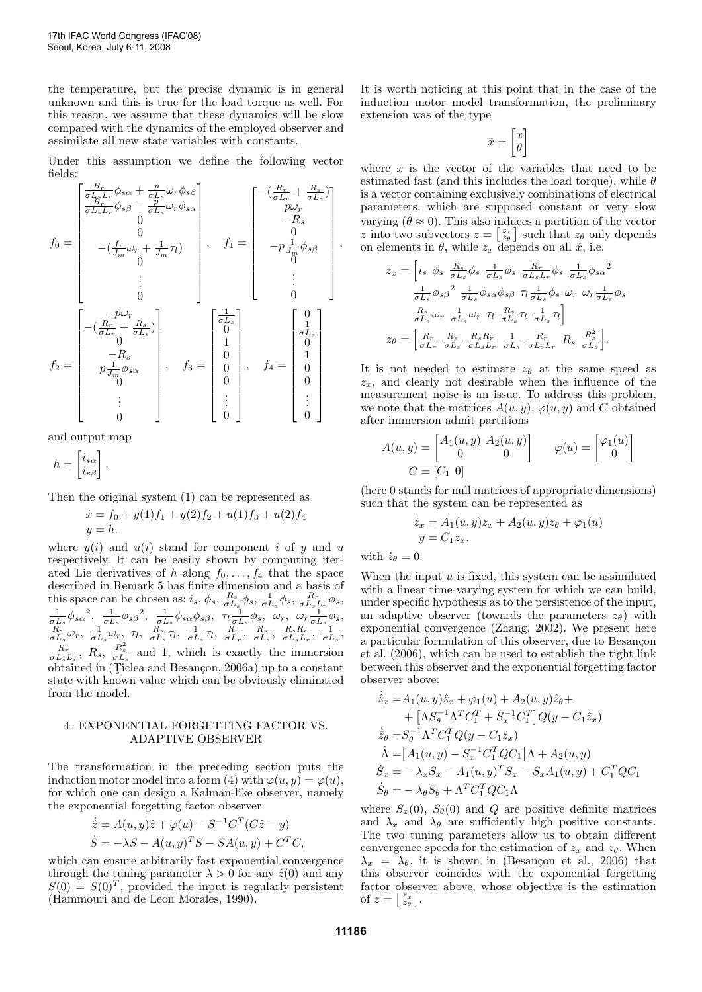the temperature, but the precise dynamic is in general unknown and this is true for the load torque as well. For this reason, we assume that these dynamics will be slow compared with the dynamics of the employed observer and assimilate all new state variables with constants.

Under this assumption we define the following vector fields:

$$
f_0 = \begin{bmatrix} \frac{R_r}{\sigma L_r} \phi_{s\alpha} + \frac{p}{\sigma L_s} \omega_r \phi_{s\beta} \\ \frac{R_r}{\sigma L_s L_r} \phi_{s\beta} - \frac{p}{\sigma L_s} \omega_r \phi_{s\alpha} \\ 0 \\ 0 \\ -(\frac{f_v}{J_m} \omega_r + \frac{1}{J_m} \tau_l) \\ 0 \\ \vdots \\ 0 \end{bmatrix}, \quad f_1 = \begin{bmatrix} -(\frac{R_r}{\sigma L_r} + \frac{R_s}{\sigma L_s}) \\ 0 \\ -R_s \\ 0 \\ \vdots \\ 0 \end{bmatrix}
$$

$$
f_2 = \begin{bmatrix} -p\omega_r \\ -(\frac{R_r}{\sigma L_r} + \frac{R_s}{\sigma L_s}) \\ 0 \\ -R_s \\ 0 \\ \vdots \\ 0 \end{bmatrix}, \quad f_3 = \begin{bmatrix} \frac{1}{\sigma L_s} \\ 0 \\ 1 \\ 0 \\ 0 \\ 0 \\ \vdots \\ 0 \end{bmatrix}, \quad f_4 = \begin{bmatrix} 0 \\ 1 \\ 0 \\ 0 \\ 0 \\ 0 \\ \vdots \\ 0 \end{bmatrix}
$$

and output map

$$
h = \begin{bmatrix} i_{s\alpha} \\ i_{s\beta} \end{bmatrix}.
$$

Then the original system (1) can be represented as

$$
\dot{x} = f_0 + y(1)f_1 + y(2)f_2 + u(1)f_3 + u(2)f_4
$$
  

$$
y = h.
$$

where  $y(i)$  and  $u(i)$  stand for component i of y and u respectively. It can be easily shown by computing iterated Lie derivatives of h along  $f_0, \ldots, f_4$  that the space described in Remark 5 has finite dimension and a basis of this space can be chosen as:  $i_s$ ,  $\phi_s$ ,  $\frac{R_s}{\sigma L_s} \phi_s$ ,  $\frac{1}{\sigma L_s} \phi_s$ ,  $\frac{R_r}{\sigma L_s L_r} \phi_s$ ,  $\frac{1}{\sigma L_s} \phi_{s\alpha}^2$ ,  $\frac{1}{\sigma L_s} \phi_{s\beta}^2$ ,  $\frac{1}{\sigma L_s} \phi_{s\alpha} \phi_{s\beta}$ ,  $\tau_l \frac{1}{\sigma L_s} \phi_s$ ,  $\omega_r$ ,  $\omega_r \frac{1}{\sigma L_s} \phi_s$ ,  $\frac{R_s}{\sigma L_s} \omega_r, \ \frac{1}{\sigma L_s} \omega_r, \ \tau_l, \ \frac{R_s}{\sigma L_s} \tau_l, \ \frac{1}{\sigma L_s} \tau_l, \ \frac{R_r}{\sigma L_r}, \ \frac{R_s}{\sigma L_s}, \ \frac{R_s R_r}{\sigma L_s L_r}, \ \frac{1}{\sigma L_s},$  $\frac{R_r}{\sigma L_s L_r}$ ,  $R_s$ ,  $\frac{R_s^2}{\sigma L_s}$  and 1, which is exactly the immersion  $obtained$  in (Ticlea and Besançon, 2006a) up to a constant state with known value which can be obviously eliminated from the model.

## 4. EXPONENTIAL FORGETTING FACTOR VS. ADAPTIVE OBSERVER

The transformation in the preceding section puts the induction motor model into a form (4) with  $\varphi(u, y) = \varphi(u)$ , for which one can design a Kalman-like observer, namely the exponential forgetting factor observer

$$
\dot{\hat{z}} = A(u, y)\hat{z} + \varphi(u) - S^{-1}C^{T}(C\hat{z} - y)
$$
  

$$
\dot{S} = -\lambda S - A(u, y)^{T}S - SA(u, y) + C^{T}C,
$$

which can ensure arbitrarily fast exponential convergence through the tuning parameter  $\lambda > 0$  for any  $\hat{z}(0)$  and any  $S(0) = S(0)^T$ , provided the input is regularly persistent (Hammouri and de Leon Morales, 1990).

It is worth noticing at this point that in the case of the induction motor model transformation, the preliminary extension was of the type

$$
\tilde{x} = \begin{bmatrix} x \\ \theta \end{bmatrix}
$$

where  $x$  is the vector of the variables that need to be estimated fast (and this includes the load torque), while  $\theta$ is a vector containing exclusively combinations of electrical parameters, which are supposed constant or very slow varying  $(\theta \approx 0)$ . This also induces a partition of the vector z into two subvectors  $z = \begin{bmatrix} z_x \\ z_\theta \end{bmatrix}$  such that  $z_\theta$  only depends on elements in  $\theta$ , while  $z_x$  depends on all  $\tilde{x}$ , i.e.

$$
z_x = \left[ i_s \; \phi_s \; \frac{R_s}{\sigma L_s} \phi_s \; \frac{1}{\sigma L_s} \phi_s \; \frac{R_r}{\sigma L_s L_r} \phi_s \; \frac{1}{\sigma L_s} \phi_{s\alpha}^2 \right. \left. \frac{1}{\sigma L_s} \phi_{s\beta}^2 \; \frac{1}{\sigma L_s} \phi_{s\alpha} \phi_{s\beta} \; \eta \frac{1}{\sigma L_s} \phi_s \; \omega_r \; \omega_r \frac{1}{\sigma L_s} \phi_s \right. \left. \frac{R_s}{\sigma L_s} \omega_r \; \frac{1}{\sigma L_s} \omega_r \; \eta \; \frac{R_s}{\sigma L_s} \eta \; \frac{1}{\sigma L_s} \eta \right]
$$
  
\n
$$
z_\theta = \left[ \frac{R_r}{\sigma L_r} \; \frac{R_s}{\sigma L_s} \; \frac{R_s R_r}{\sigma L_s L_r} \; \frac{1}{\sigma L_s} \; \frac{R_r}{\sigma L_s L_r} \; R_s \; \frac{R_s^2}{\sigma L_s} \right].
$$

It is not needed to estimate  $z_{\theta}$  at the same speed as  $z_x$ , and clearly not desirable when the influence of the measurement noise is an issue. To address this problem, we note that the matrices  $A(u, y), \varphi(u, y)$  and C obtained after immersion admit partitions

$$
A(u, y) = \begin{bmatrix} A_1(u, y) & A_2(u, y) \\ 0 & 0 \end{bmatrix} \qquad \varphi(u) = \begin{bmatrix} \varphi_1(u) \\ 0 \end{bmatrix}
$$

$$
C = \begin{bmatrix} C_1 & 0 \end{bmatrix}
$$

(here 0 stands for null matrices of appropriate dimensions) such that the system can be represented as

$$
\dot{z}_x = A_1(u, y)z_x + A_2(u, y)z_\theta + \varphi_1(u)
$$
  

$$
y = C_1 z_x.
$$

with  $\dot{z}_{\theta} = 0$ .

,

When the input  $u$  is fixed, this system can be assimilated with a linear time-varying system for which we can build, under specific hypothesis as to the persistence of the input, an adaptive observer (towards the parameters  $z_{\theta}$ ) with exponential convergence (Zhang, 2002). We present here a particular formulation of this observer, due to Besancon et al. (2006), which can be used to establish the tight link between this observer and the exponential forgetting factor observer above:

$$
\dot{\hat{z}}_x = A_1(u, y)\hat{z}_x + \varphi_1(u) + A_2(u, y)\hat{z}_\theta +\n+ \left[\Lambda S_\theta^{-1} \Lambda^T C_1^T + S_x^{-1} C_1^T\right] Q(y - C_1 \hat{z}_x) \n\dot{\hat{z}}_\theta = S_\theta^{-1} \Lambda^T C_1^T Q(y - C_1 \hat{z}_x) \n\dot{\Lambda} = \left[A_1(u, y) - S_x^{-1} C_1^T Q C_1\right] \Lambda + A_2(u, y) \n\dot{S}_x = -\lambda_x S_x - A_1(u, y)^T S_x - S_x A_1(u, y) + C_1^T Q C_1 \n\dot{S}_\theta = -\lambda_\theta S_\theta + \Lambda^T C_1^T Q C_1 \Lambda
$$

where  $S_x(0)$ ,  $S_\theta(0)$  and Q are positive definite matrices and  $\lambda_x$  and  $\lambda_\theta$  are sufficiently high positive constants. The two tuning parameters allow us to obtain different convergence speeds for the estimation of  $z_x$  and  $z_\theta$ . When  $\lambda_x = \lambda_\theta$ , it is shown in (Besançon et al., 2006) that this observer coincides with the exponential forgetting factor observer above, whose objective is the estimation of  $z = \begin{bmatrix} z_x \\ z_\theta \end{bmatrix}$ .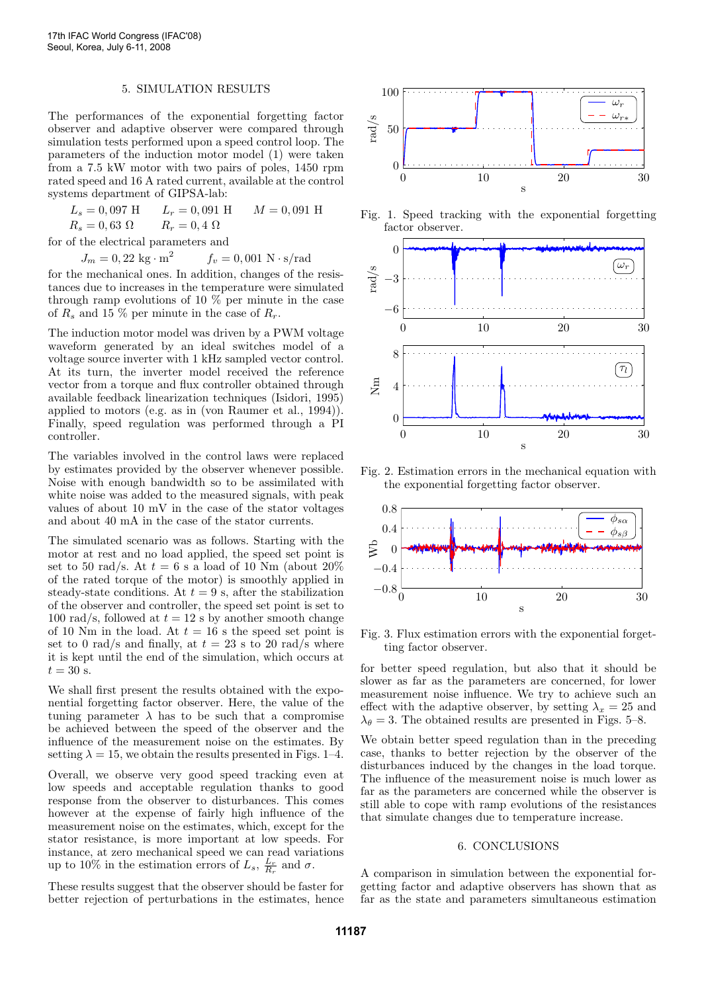#### 5. SIMULATION RESULTS

The performances of the exponential forgetting factor observer and adaptive observer were compared through simulation tests performed upon a speed control loop. The parameters of the induction motor model (1) were taken from a 7.5 kW motor with two pairs of poles, 1450 rpm rated speed and 16 A rated current, available at the control systems department of GIPSA-lab:

| $L_s = 0.097$ H     | $L_r = 0.091 \text{ H}$ | $M = 0,091$ H |
|---------------------|-------------------------|---------------|
| $R_s = 0,63 \Omega$ | $R_r = 0,4 \Omega$      |               |

for of the electrical parameters and

 $J_m = 0,22 \text{ kg} \cdot \text{m}^2$  $f_v = 0,001 \text{ N} \cdot \text{s/rad}$ 

for the mechanical ones. In addition, changes of the resistances due to increases in the temperature were simulated through ramp evolutions of 10 % per minute in the case of  $R_s$  and 15 % per minute in the case of  $R_r$ .

The induction motor model was driven by a PWM voltage waveform generated by an ideal switches model of a voltage source inverter with 1 kHz sampled vector control. At its turn, the inverter model received the reference vector from a torque and flux controller obtained through available feedback linearization techniques (Isidori, 1995) applied to motors (e.g. as in (von Raumer et al., 1994)). Finally, speed regulation was performed through a PI controller.

The variables involved in the control laws were replaced by estimates provided by the observer whenever possible. Noise with enough bandwidth so to be assimilated with white noise was added to the measured signals, with peak values of about 10 mV in the case of the stator voltages and about 40 mA in the case of the stator currents.

The simulated scenario was as follows. Starting with the motor at rest and no load applied, the speed set point is set to 50 rad/s. At  $t = 6$  s a load of 10 Nm (about 20%) of the rated torque of the motor) is smoothly applied in steady-state conditions. At  $t = 9$  s, after the stabilization of the observer and controller, the speed set point is set to 100 rad/s, followed at  $t = 12$  s by another smooth change of 10 Nm in the load. At  $t = 16$  s the speed set point is set to 0 rad/s and finally, at  $t = 23$  s to 20 rad/s where it is kept until the end of the simulation, which occurs at  $t = 30$  s.

We shall first present the results obtained with the exponential forgetting factor observer. Here, the value of the tuning parameter  $\lambda$  has to be such that a compromise be achieved between the speed of the observer and the influence of the measurement noise on the estimates. By setting  $\lambda = 15$ , we obtain the results presented in Figs. 1–4.

Overall, we observe very good speed tracking even at low speeds and acceptable regulation thanks to good response from the observer to disturbances. This comes however at the expense of fairly high influence of the measurement noise on the estimates, which, except for the stator resistance, is more important at low speeds. For instance, at zero mechanical speed we can read variations up to 10% in the estimation errors of  $L_s$ ,  $\frac{L_r}{R_r}$  and  $\sigma$ .

These results suggest that the observer should be faster for better rejection of perturbations in the estimates, hence



Fig. 1. Speed tracking with the exponential forgetting factor observer.



Fig. 2. Estimation errors in the mechanical equation with the exponential forgetting factor observer.



Fig. 3. Flux estimation errors with the exponential forgetting factor observer.

for better speed regulation, but also that it should be slower as far as the parameters are concerned, for lower measurement noise influence. We try to achieve such an effect with the adaptive observer, by setting  $\lambda_x = 25$  and  $\lambda_{\theta} = 3$ . The obtained results are presented in Figs. 5–8.

We obtain better speed regulation than in the preceding case, thanks to better rejection by the observer of the disturbances induced by the changes in the load torque. The influence of the measurement noise is much lower as far as the parameters are concerned while the observer is still able to cope with ramp evolutions of the resistances that simulate changes due to temperature increase.

#### 6. CONCLUSIONS

A comparison in simulation between the exponential forgetting factor and adaptive observers has shown that as far as the state and parameters simultaneous estimation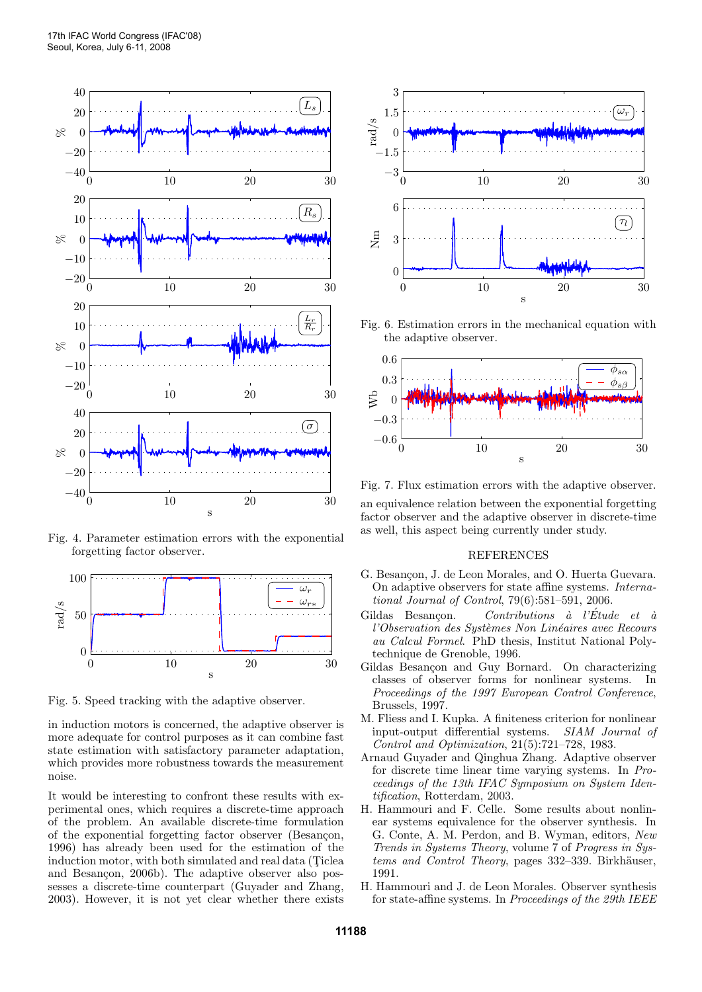

Fig. 4. Parameter estimation errors with the exponential forgetting factor observer.



Fig. 5. Speed tracking with the adaptive observer.

in induction motors is concerned, the adaptive observer is more adequate for control purposes as it can combine fast state estimation with satisfactory parameter adaptation, which provides more robustness towards the measurement noise.

It would be interesting to confront these results with experimental ones, which requires a discrete-time approach of the problem. An available discrete-time formulation of the exponential forgetting factor observer (Besançon, 1996) has already been used for the estimation of the induction motor, with both simulated and real data (Ticlea and Besançon, 2006b). The adaptive observer also possesses a discrete-time counterpart (Guyader and Zhang, 2003). However, it is not yet clear whether there exists



Fig. 6. Estimation errors in the mechanical equation with the adaptive observer.



Fig. 7. Flux estimation errors with the adaptive observer.

an equivalence relation between the exponential forgetting factor observer and the adaptive observer in discrete-time as well, this aspect being currently under study.

#### REFERENCES

- G. Besançon, J. de Leon Morales, and O. Huerta Guevara. On adaptive observers for state affine systems. International Journal of Control, 79(6):581–591, 2006.
- Gildas Besançon. Contributions à l'Étude et à l'Observation des Systèmes Non Linéaires avec Recours au Calcul Formel. PhD thesis, Institut National Polytechnique de Grenoble, 1996.
- Gildas Besançon and Guy Bornard. On characterizing classes of observer forms for nonlinear systems. In Proceedings of the 1997 European Control Conference, Brussels, 1997.
- M. Fliess and I. Kupka. A finiteness criterion for nonlinear input-output differential systems. SIAM Journal of Control and Optimization, 21(5):721–728, 1983.
- Arnaud Guyader and Qinghua Zhang. Adaptive observer for discrete time linear time varying systems. In Proceedings of the 13th IFAC Symposium on System Identification, Rotterdam, 2003.
- H. Hammouri and F. Celle. Some results about nonlinear systems equivalence for the observer synthesis. In G. Conte, A. M. Perdon, and B. Wyman, editors, New Trends in Systems Theory, volume 7 of Progress in Systems and Control Theory, pages 332–339. Birkhäuser, 1991.
- H. Hammouri and J. de Leon Morales. Observer synthesis for state-affine systems. In Proceedings of the 29th IEEE